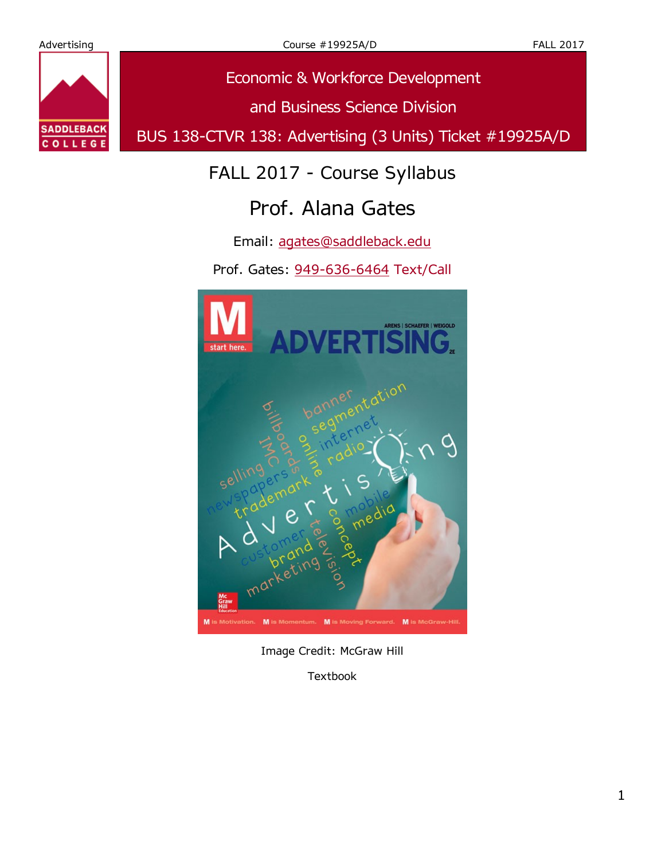

Economic & Workforce Development

and Business Science Division

BUS 138-CTVR 138: Advertising (3 Units) Ticket #19925A/D

# FALL 2017 - Course Syllabus

# Prof. Alana Gates

Email: [agates@saddleback.edu](mailto:agates@saddleback.edu)

Prof. Gates: 949-636-6464 Text/Call



Image Credit: McGraw Hill

Textbook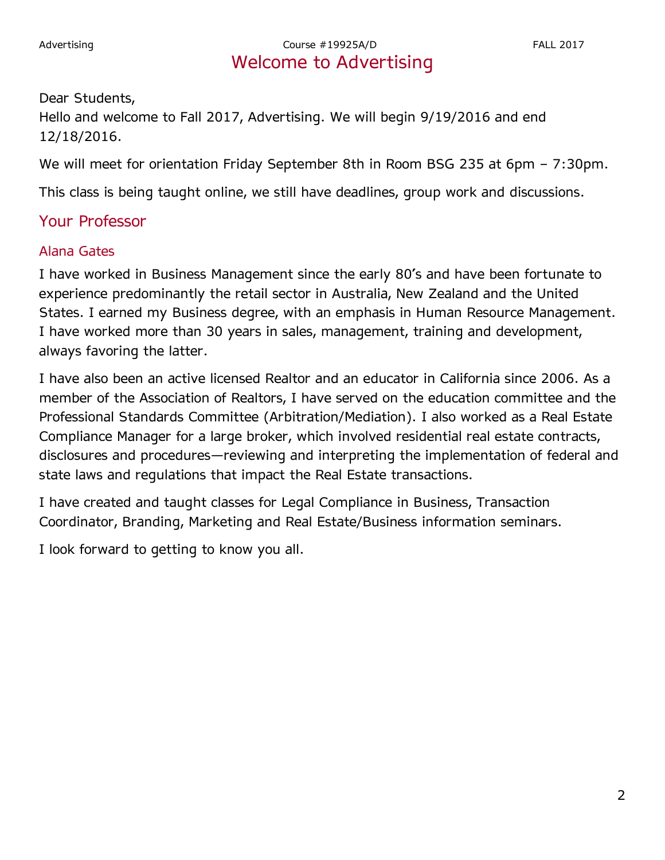#### <span id="page-1-0"></span>Advertising Course #19925A/D FALL 2017 Welcome to Advertising

#### Dear Students,

Hello and welcome to Fall 2017, Advertising. We will begin 9/19/2016 and end 12/18/2016.

We will meet for orientation Friday September 8th in Room BSG 235 at 6pm - 7:30pm.

This class is being taught online, we still have deadlines, group work and discussions.

#### <span id="page-1-1"></span>Your Professor

#### <span id="page-1-2"></span>Alana Gates

I have worked in Business Management since the early 80's and have been fortunate to experience predominantly the retail sector in Australia, New Zealand and the United States. I earned my Business degree, with an emphasis in Human Resource Management. I have worked more than 30 years in sales, management, training and development, always favoring the latter.

I have also been an active licensed Realtor and an educator in California since 2006. As a member of the Association of Realtors, I have served on the education committee and the Professional Standards Committee (Arbitration/Mediation). I also worked as a Real Estate Compliance Manager for a large broker, which involved residential real estate contracts, disclosures and procedures—reviewing and interpreting the implementation of federal and state laws and regulations that impact the Real Estate transactions.

I have created and taught classes for Legal Compliance in Business, Transaction Coordinator, Branding, Marketing and Real Estate/Business information seminars.

I look forward to getting to know you all.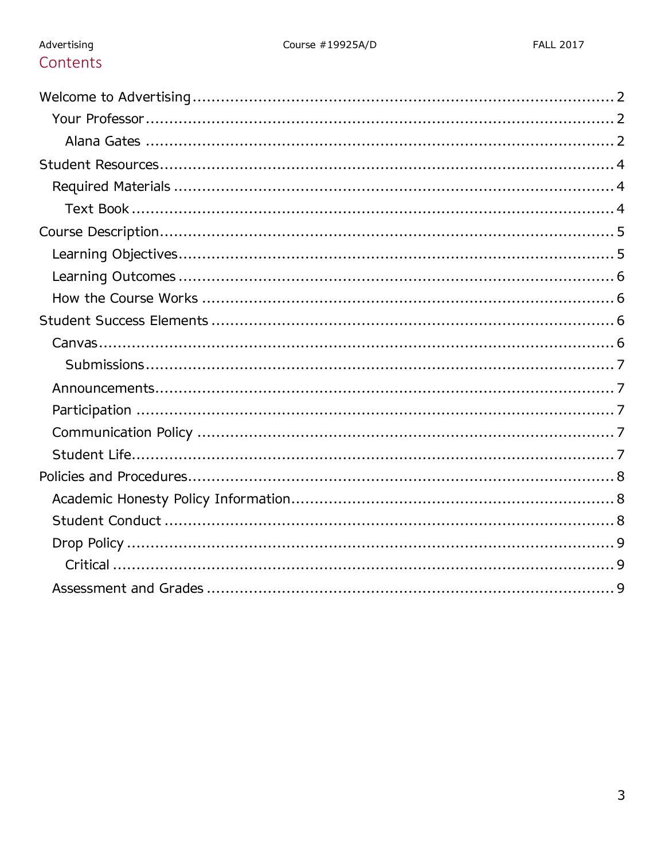**FALL 2017** 

### Advertising Contents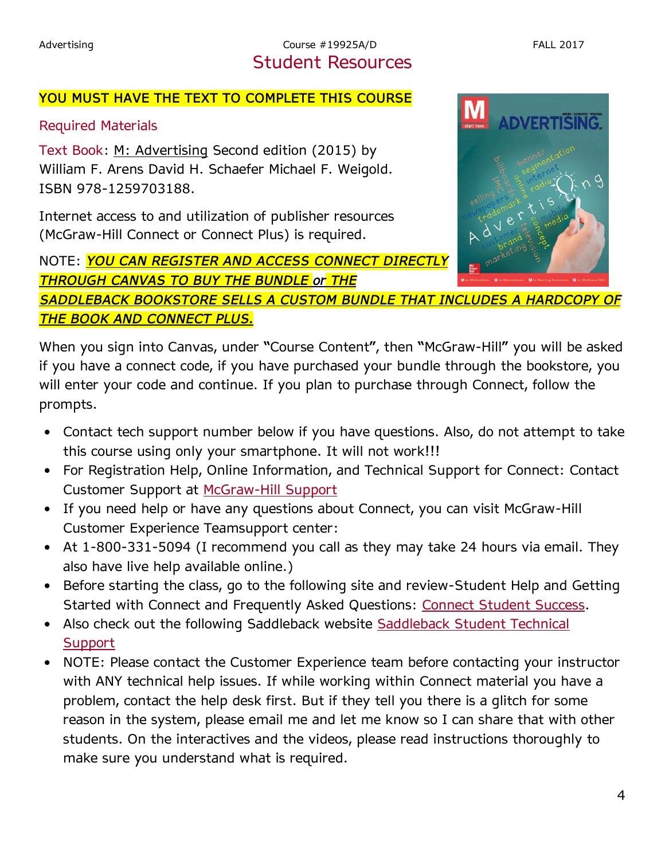#### <span id="page-3-0"></span>**YOU MUST HAVE THE TEXT TO COMPLETE THIS COURSE**

#### <span id="page-3-1"></span>Required Materials

<span id="page-3-2"></span>Text Book: M: Advertising Second edition (2015) by William F. Arens David H. Schaefer Michael F. Weigold. ISBN 978-1259703188.

Internet access to and utilization of publisher resources (McGraw-Hill Connect or Connect Plus) is required.

NOTE: *YOU CAN REGISTER AND ACCESS CONNECT DIRECTLY THROUGH CANVAS TO BUY THE BUNDLE or THE* 

*SADDLEBACK BOOKSTORE SELLS A CUSTOM BUNDLE THAT INCLUDES A HARDCOPY OF THE BOOK AND CONNECT PLUS.*

When you sign into Canvas, under "Course Content", then "McGraw-Hill" you will be asked if you have a connect code, if you have purchased your bundle through the bookstore, you will enter your code and continue. If you plan to purchase through Connect, follow the prompts.

- Contact tech support number below if you have questions. Also, do not attempt to take this course using only your smartphone. It will not work!!!
- For Registration Help, Online Information, and Technical Support for Connect: Contact Customer Support at [McGraw-Hill Support](http://mhhe.com/support)
- If you need help or have any questions about Connect, you can visit McGraw-Hill Customer Experience Teamsupport center:
- At 1-800-331-5094 (I recommend you call as they may take 24 hours via email. They also have live help available online.)
- Before starting the class, go to the following site and review-Student Help and Getting Started with Connect and Frequently Asked Questions: [Connect Student Success.](http://www.connectstudentsuccess.com/)
- Also check out the following Saddleback website Saddleback Student Technical [Support](http://www.saddleback.edu/de/student-technical-support)
- NOTE: Please contact the Customer Experience team before contacting your instructor with ANY technical help issues. If while working within Connect material you have a problem, contact the help desk first. But if they tell you there is a glitch for some reason in the system, please email me and let me know so I can share that with other students. On the interactives and the videos, please read instructions thoroughly to make sure you understand what is required.

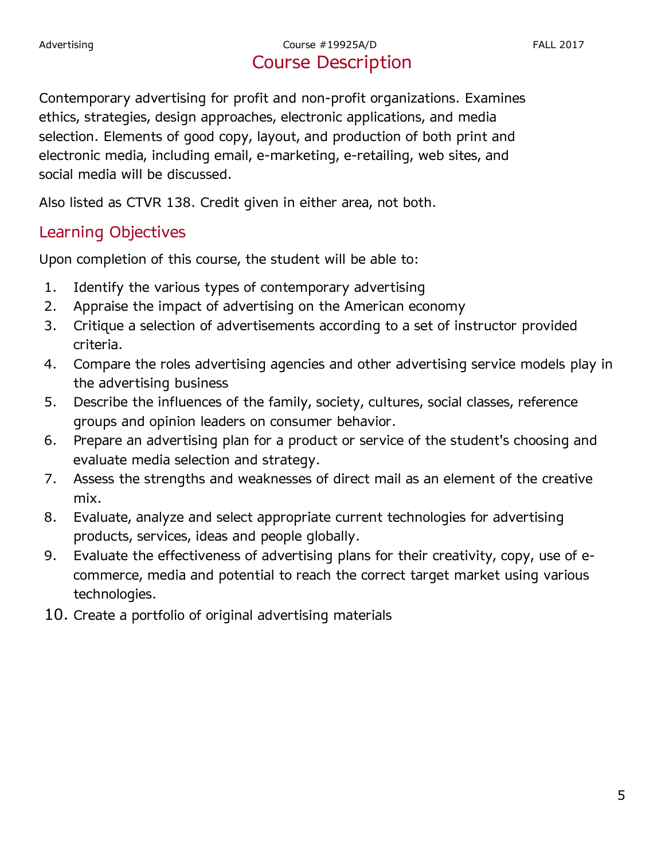### <span id="page-4-0"></span>Advertising Course #19925A/D FALL 2017 Course Description

Contemporary advertising for profit and non-profit organizations. Examines ethics, strategies, design approaches, electronic applications, and media selection. Elements of good copy, layout, and production of both print and electronic media, including email, e-marketing, e-retailing, web sites, and social media will be discussed.

Also listed as CTVR 138. Credit given in either area, not both.

### <span id="page-4-1"></span>Learning Objectives

Upon completion of this course, the student will be able to:

- 1. Identify the various types of contemporary advertising
- 2. Appraise the impact of advertising on the American economy
- 3. Critique a selection of advertisements according to a set of instructor provided criteria.
- 4. Compare the roles advertising agencies and other advertising service models play in the advertising business
- 5. Describe the influences of the family, society, cultures, social classes, reference groups and opinion leaders on consumer behavior.
- 6. Prepare an advertising plan for a product or service of the student's choosing and evaluate media selection and strategy.
- 7. Assess the strengths and weaknesses of direct mail as an element of the creative mix.
- 8. Evaluate, analyze and select appropriate current technologies for advertising products, services, ideas and people globally.
- 9. Evaluate the effectiveness of advertising plans for their creativity, copy, use of ecommerce, media and potential to reach the correct target market using various technologies.
- 10. Create a portfolio of original advertising materials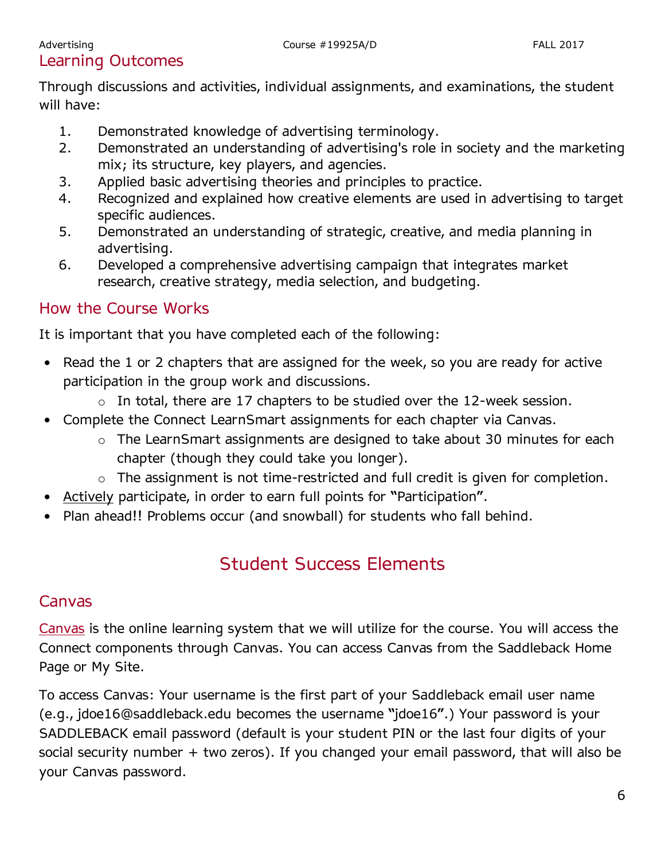#### <span id="page-5-0"></span>Advertising The Course #19925A/D FALL 2017 Learning Outcomes

Through discussions and activities, individual assignments, and examinations, the student will have:

- 1. Demonstrated knowledge of advertising terminology.
- 2. Demonstrated an understanding of advertising's role in society and the marketing mix; its structure, key players, and agencies.
- 3. Applied basic advertising theories and principles to practice.
- 4. Recognized and explained how creative elements are used in advertising to target specific audiences.
- 5. Demonstrated an understanding of strategic, creative, and media planning in advertising.
- 6. Developed a comprehensive advertising campaign that integrates market research, creative strategy, media selection, and budgeting.

# <span id="page-5-1"></span>How the Course Works

It is important that you have completed each of the following:

- Read the 1 or 2 chapters that are assigned for the week, so you are ready for active participation in the group work and discussions.
	- $\circ$  In total, there are 17 chapters to be studied over the 12-week session.
- Complete the Connect LearnSmart assignments for each chapter via Canvas.
	- o The LearnSmart assignments are designed to take about 30 minutes for each chapter (though they could take you longer).
	- $\circ$  The assignment is not time-restricted and full credit is given for completion.
- Actively participate, in order to earn full points for "Participation".
- <span id="page-5-2"></span>• Plan ahead!! Problems occur (and snowball) for students who fall behind.

# Student Success Elements

### <span id="page-5-3"></span>Canvas

[Canvas](http://socccd.blackboard.edu/) is the online learning system that we will utilize for the course. You will access the Connect components through Canvas. You can access Canvas from the Saddleback Home Page or My Site.

To access Canvas: Your username is the first part of your Saddleback email user name (e.g., jdoe16@saddleback.edu becomes the username "jdoe16".) Your password is your SADDLEBACK email password (default is your student PIN or the last four digits of your social security number + two zeros). If you changed your email password, that will also be your Canvas password.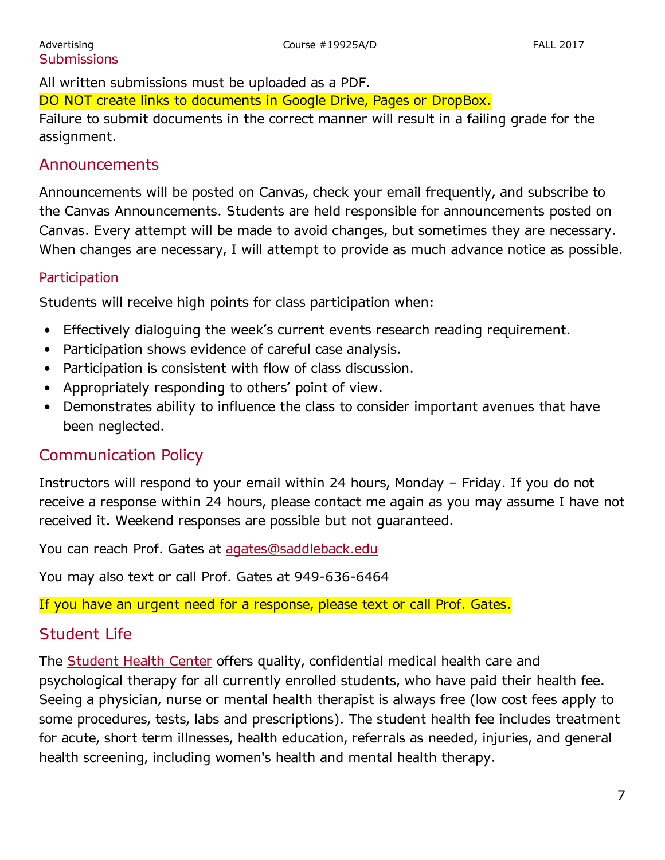<span id="page-6-0"></span>All written submissions must be uploaded as a PDF.

DO NOT create links to documents in Google Drive, Pages or DropBox.

Failure to submit documents in the correct manner will result in a failing grade for the assignment.

### <span id="page-6-1"></span>Announcements

Announcements will be posted on Canvas, check your email frequently, and subscribe to the Canvas Announcements. Students are held responsible for announcements posted on Canvas. Every attempt will be made to avoid changes, but sometimes they are necessary. When changes are necessary, I will attempt to provide as much advance notice as possible.

### <span id="page-6-2"></span>Participation

Students will receive high points for class participation when:

- Effectively dialoguing the week's current events research reading requirement.
- Participation shows evidence of careful case analysis.
- Participation is consistent with flow of class discussion.
- Appropriately responding to others' point of view.
- Demonstrates ability to influence the class to consider important avenues that have been neglected.

# <span id="page-6-3"></span>Communication Policy

Instructors will respond to your email within 24 hours, Monday – Friday. If you do not receive a response within 24 hours, please contact me again as you may assume I have not received it. Weekend responses are possible but not guaranteed.

You can reach Prof. Gates at [agates@saddleback.edu](mailto:agates@saddleback.edu)

You may also text or call Prof. Gates at 949-636-6464

If you have an urgent need for a response, please text or call Prof. Gates.

# <span id="page-6-4"></span>[Student](http://www.ivc.edu/student/wellness/Pages/default.aspx) Life

The **Student Health Center** offers quality, confidential medical health care and psychological therapy for all currently enrolled students, who have paid their health fee. Seeing a physician, nurse or mental health therapist is always free (low cost fees apply to some procedures, tests, labs and prescriptions). The student health fee includes treatment for acute, short term illnesses, health education, referrals as needed, injuries, and general health screening, including women's health and mental health therapy.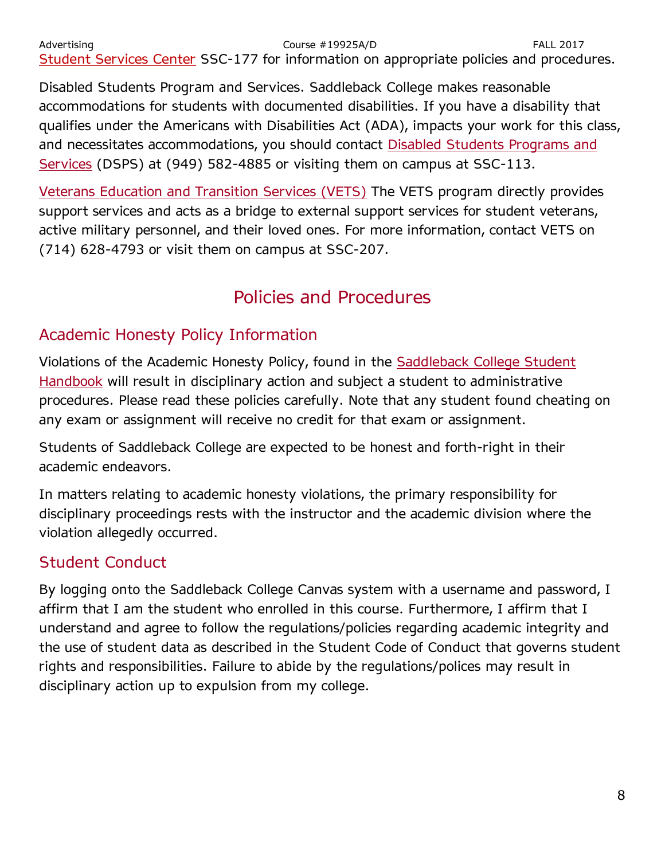Advertising The Course #19925A/D FALL 2017 [Student Services Center](http://www.saddleback.edu/vpss) SSC-177 for information on appropriate policies and procedures.

Disabled Students Program and Services. Saddleback College makes reasonable accommodations for students with documented disabilities. If you have a disability that qualifies under the Americans with Disabilities Act (ADA), impacts your work for this class, and necessitates accommodations, you should contact **Disabled Students Programs and** [Services](http://www.saddleback.edu/dsps) (DSPS) at (949) 582-4885 or visiting them on campus at SSC-113.

[Veterans Education and Transition Services \(VETS\)](http://www.saddleback.edu/vets) The VETS program directly provides support services and acts as a bridge to external support services for student veterans, active military personnel, and their loved ones. For more information, contact VETS on (714) 628-4793 or visit them on campus at SSC-207.

# Policies and Procedures

# <span id="page-7-1"></span><span id="page-7-0"></span>Academic Honesty Policy Information

Violations of the Academic Honesty Policy, found in the Saddleback College Student [Handbook](http://saddleback.edu/media/pdf/handbook.pdf) will result in disciplinary action and subject a student to administrative procedures. Please read these policies carefully. Note that any student found cheating on any exam or assignment will receive no credit for that exam or assignment.

Students of Saddleback College are expected to be honest and forth-right in their academic endeavors.

In matters relating to academic honesty violations, the primary responsibility for disciplinary proceedings rests with the instructor and the academic division where the violation allegedly occurred.

# <span id="page-7-2"></span>Student Conduct

By logging onto the Saddleback College Canvas system with a username and password, I affirm that I am the student who enrolled in this course. Furthermore, I affirm that I understand and agree to follow the regulations/policies regarding academic integrity and the use of student data as described in the Student Code of Conduct that governs student rights and responsibilities. Failure to abide by the regulations/polices may result in disciplinary action up to expulsion from my college.